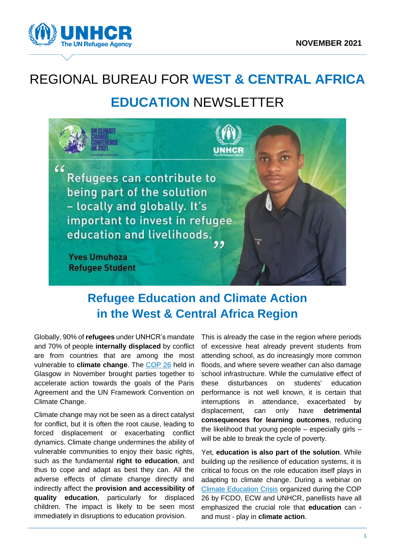

# REGIONAL BUREAU FOR **WEST & CENTRAL AFRICA EDUCATION** NEWSLETTER



## **Refugee Education and Climate Action in the West & Central Africa Region**

Globally, 90% of **refugees** under UNHCR's mandate and 70% of people **internally displaced** by conflict are from countries that are among the most vulnerable to **climate change**. The [COP 26](https://ukcop26.org/) held in Glasgow in November brought parties together to accelerate action towards the goals of the Paris Agreement and the UN Framework Convention on Climate Change.

Climate change may not be seen as a direct catalyst for conflict, but it is often the root cause, leading to forced displacement or exacerbating conflict dynamics. Climate change undermines the ability of vulnerable communities to enjoy their basic rights, such as the fundamental **right to education**, and thus to cope and adapt as best they can. All the adverse effects of climate change directly and indirectly affect the **provision and accessibility of quality education**, particularly for displaced children. The impact is likely to be seen most immediately in disruptions to education provision.

This is already the case in the region where periods of excessive heat already prevent students from attending school, as do increasingly more common floods, and where severe weather can also damage school infrastructure. While the cumulative effect of these disturbances on students' education performance is not well known, it is certain that interruptions in attendance, exacerbated by displacement, can only have **detrimental consequences for learning outcomes**, reducing the likelihood that young people – especially girls – will be able to break the cycle of poverty.

Yet, **education is also part of the solution**. While building up the resilience of education systems, it is critical to focus on the role education itself plays in adapting to climate change. During a webinar on [Climate Education Crisis](https://www.youtube.com/watch?v=-s0jMdY7kPI) organized during the COP 26 by FCDO, ECW and UNHCR, panellists have all emphasized the crucial role that **education** can and must - play in **climate action**.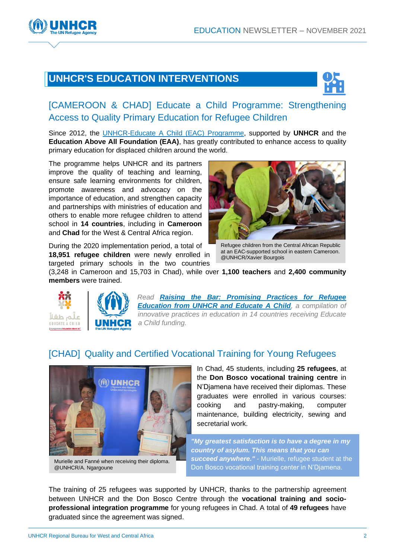

### **UNHCR'S EDUCATION INTERVENTIONS**



#### [CAMEROON & CHAD] Educate a Child Programme: Strengthening Access to Quality Primary Education for Refugee Children

Since 2012, the [UNHCR-Educate A Child \(EAC\)](https://www.unhcr.org/educate-a-child.html) Programme, supported by **UNHCR** and the **Education Above All Foundation (EAA)**, has greatly contributed to enhance access to quality primary education for displaced children around the world.

The programme helps UNHCR and its partners improve the quality of teaching and learning, ensure safe learning environments for children, promote awareness and advocacy on the importance of education, and strengthen capacity and partnerships with ministries of education and others to enable more refugee children to attend school in **14 countries**, including in **Cameroon** and **Chad** for the West & Central Africa region.



During the 2020 implementation period, a total of **18,951 refugee children** were newly enrolled in targeted primary schools in the two countries

Refugee children from the Central African Republic at an EAC-supported school in eastern Cameroon. @UNHCR/Xavier Bourgois

(3,248 in Cameroon and 15,703 in Chad), while over **1,100 teachers** and **2,400 community members** were trained.





*Read [Raising the Bar: Promising Practices for Refugee](https://www.unhcr.org/5fa2d3c87)  [Education from UNHCR and Educate A Child](https://www.unhcr.org/5fa2d3c87), a compilation of innovative practices in education in 14 countries receiving Educate a Child funding.*

#### [CHAD] [Quality and Certified Vocational Training for Young Refugees](https://jrs.net/en/story/chad-young-refugees-overcome-barriers-to-higher-education/)



Murielle and Fanné when receiving their diploma. @UNHCR/A. Ngargoune

In Chad, 45 students, including **25 refugees**, at the **Don Bosco vocational training centre** in N'Djamena have received their diplomas. These graduates were enrolled in various courses: cooking and pastry-making, computer maintenance, building electricity, sewing and secretarial work.

*"My greatest satisfaction is to have a degree in my country of asylum. This means that you can succeed anywhere."* - Murielle, refugee student at the Don Bosco vocational training center in N'Djamena.

The training of 25 refugees was supported by UNHCR, thanks to the partnership agreement between UNHCR and the Don Bosco Centre through the **vocational training and socioprofessional integration programme** for young refugees in Chad. A total of **49 refugees** have graduated since the agreement was signed.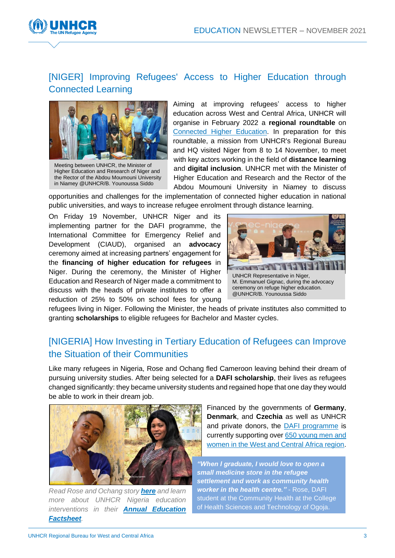

#### [\[NIGER\]](https://twitter.com/UNHCRfrance/status/1438509282694074370) Improving Refugees' Access to Higher Education through Connected Learning



Meeting between UNHCR, the Minister of Higher Education and Research of Niger and the Rector of the Abdou Moumouni University in Niamey @UNHCR/B. Younoussa Siddo

Aiming at improving refugees' access to higher education across West and Central Africa, UNHCR will organise in February 2022 a **regional roundtable** on [Connected Higher Education.](https://www.unhcr.org/connected-learning.html) In preparation for this roundtable, a mission from UNHCR's Regional Bureau and HQ visited Niger from 8 to 14 November, to meet with key actors working in the field of **distance learning** and **digital inclusion**. UNHCR met with the Minister of Higher Education and Research and the Rector of the Abdou Moumouni University in Niamey to discuss

opportunities and challenges for the implementation of connected higher education in national public universities, and ways to increase refugee enrolment through distance learning.

On Friday 19 November, UNHCR Niger and its implementing partner for the DAFI programme, the International Committee for Emergency Relief and Development (CIAUD), organised an **advocacy** ceremony aimed at increasing partners' engagement for the **financing of higher education for refugees** in Niger. During the ceremony, the Minister of Higher Education and Research of Niger made a commitment to discuss with the heads of private institutes to offer a reduction of 25% to 50% on school fees for young



M. Emmanuel Gignac, during the advocacy ceremony on refuge higher education. @UNHCR/B. Younoussa Siddo

refugees living in Niger. Following the Minister, the heads of private institutes also committed to granting **scholarships** to eligible refugees for Bachelor and Master cycles.

#### [NIGERIA] [How Investing in Tertiary Education of Refugees can Improve](https://www.unhcr.org/ng/13725-i-knelt-down-and-thanked-god.html)  [the Situation of their Communities](https://www.unhcr.org/ng/13725-i-knelt-down-and-thanked-god.html)

Like many refugees in Nigeria, Rose and Ochang fled Cameroon leaving behind their dream of pursuing university studies. After being selected for a **DAFI scholarship**, their lives as refugees changed significantly: they became university students and regained hope that one day they would be able to work in their dream job.



*Read Rose and Ochang story [here](https://www.unhcr.org/ng/13725-i-knelt-down-and-thanked-god.html) and learn more about UNHCR Nigeria education interventions in their [Annual Education](https://eur02.safelinks.protection.outlook.com/?url=https%3A%2F%2Funhcr.us8.list-manage.com%2Ftrack%2Fclick%3Fu%3D4f36f6383abf75b05e839d4cb%26id%3Dfb099ae623%26e%3Dd8f282a39d&data=04%7C01%7Cberquin%40unhcr.org%7Cb257473a80af41137a8208d9bb0e1964%7Ce5c37981666441348a0c6543d2af80be%7C0%7C0%7C637746491505085296%7CUnknown%7CTWFpbGZsb3d8eyJWIjoiMC4wLjAwMDAiLCJQIjoiV2luMzIiLCJBTiI6Ik1haWwiLCJXVCI6Mn0%3D%7C3000&sdata=QAU%2Fe6zsaB0sbpZmZVPQYu6RBF9YS0k6Zvq54SyC5t4%3D&reserved=0)  [Factsheet](https://eur02.safelinks.protection.outlook.com/?url=https%3A%2F%2Funhcr.us8.list-manage.com%2Ftrack%2Fclick%3Fu%3D4f36f6383abf75b05e839d4cb%26id%3Dfb099ae623%26e%3Dd8f282a39d&data=04%7C01%7Cberquin%40unhcr.org%7Cb257473a80af41137a8208d9bb0e1964%7Ce5c37981666441348a0c6543d2af80be%7C0%7C0%7C637746491505085296%7CUnknown%7CTWFpbGZsb3d8eyJWIjoiMC4wLjAwMDAiLCJQIjoiV2luMzIiLCJBTiI6Ik1haWwiLCJXVCI6Mn0%3D%7C3000&sdata=QAU%2Fe6zsaB0sbpZmZVPQYu6RBF9YS0k6Zvq54SyC5t4%3D&reserved=0).*

Financed by the governments of **Germany**, **Denmark**, and **Czechia** as well as UNHCR and private donors, the [DAFI programme](https://www.unhcr.org/dafi-scholarships.html) is currently supporting ove[r 650 young men and](https://www.unhcr.org/publications/brochures/6177e5204/dafi-annual-report-2020.html)  [women in the West and Central Africa region.](https://www.unhcr.org/publications/brochures/6177e5204/dafi-annual-report-2020.html)

*"When I graduate, I would love to open a [sm](https://www.unhcr.org/ng/13725-i-knelt-down-and-thanked-god.html)all medicine store in the refugee settlement and work as community health worker in the health centre."* - Rose, DAFI student at the Community Health at the College of Health Sciences and Technology of Ogoja.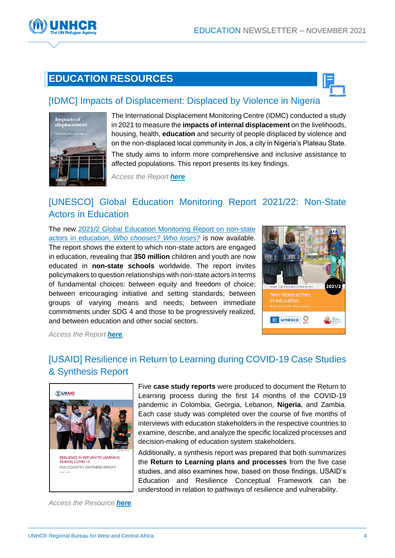

## **EDUCATION RESOURCES**



#### [\[IDMC\] Impacts of Displacement: Displaced by Violence in Nigeria](https://www.internal-displacement.org/publications/impacts-of-displacement-displaced-by-violence-jos-nigeria)



The International Displacement Monitoring Centre (IDMC) conducted a study in 2021 to measure the **impacts of internal displacement** on the livelihoods, housing, health, **education** and security of people displaced by violence and on the non-displaced local community in Jos, a city in Nigeria's Plateau State.

The study aims to inform more comprehensive and inclusive assistance to affected populations. This report presents its key findings.

*Access the Report [here](https://www.internal-displacement.org/publications/impacts-of-displacement-displaced-by-violence-jos-nigeria).*

#### [\[UNESCO\] Global Education Monitoring Report](https://unesdoc.unesco.org/ark:/48223/pf0000379875) 2021/22: Non-State [Actors in Education](https://unesdoc.unesco.org/ark:/48223/pf0000379875)

The new [2021/2 Global Education Monitoring Report on non-state](https://unesdoc.unesco.org/ark:/48223/pf0000379875)  actors in education, *[Who chooses? Who loses?](https://unesdoc.unesco.org/ark:/48223/pf0000379875)* is now available. The report shows the extent to which non-state actors are engaged in education, revealing that **350 million** children and youth are now educated in **non-state schools** worldwide. The report invites policymakers to question relationships with non-state actors in terms of fundamental choices: between equity and freedom of choice; between encouraging initiative and setting standards; between groups of varying means and needs; between immediate commitments under SDG 4 and those to be progressively realized, and between education and other social sectors.



*Access the Report [here](https://unesdoc.unesco.org/ark:/48223/pf0000379875).*

#### [\[USAID\] Resilience in Return to Learning during COVID-19 Case Studies](https://www.eccnetwork.net/resources/resilience-return-learning-case-studies)  [& Synthesis Report](https://www.eccnetwork.net/resources/resilience-return-learning-case-studies)



RESILIENCE IN RETURN TO LEARNING **DURING COVID-19** FIVE-COUNTRY SYNTHESIS REPORT

*Access the Resource [here](https://www.eccnetwork.net/resources/resilience-return-learning-case-studies).*

Five **case study reports** were produced to document the Return to Learning process during the first 14 months of the COVID-19 pandemic in Colombia, Georgia, Lebanon, **Nigeria**, and Zambia. Each case study was completed over the course of five months of interviews with education stakeholders in the respective countries to examine, describe, and analyze the specific localized processes and decision-making of education system stakeholders.

Additionally, a synthesis report was prepared that both summarizes the **Return to Learning plans and processes** from the five case studies, and also examines how, based on those findings, USAID's Education and Resilience Conceptual Framework can be understood in relation to pathways of resilience and vulnerability.